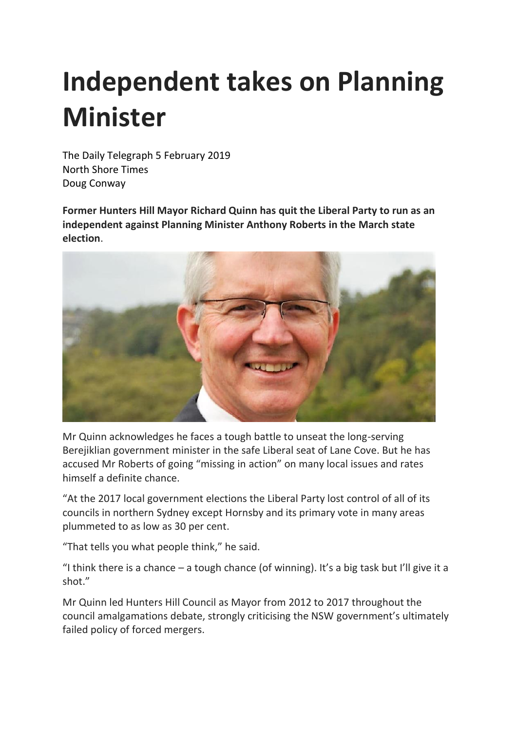## **Independent takes on Planning Minister**

The Daily Telegraph 5 February 2019 North Shore Times Doug Conway

**Former Hunters Hill Mayor Richard Quinn has quit the Liberal Party to run as an independent against Planning Minister Anthony Roberts in the March state election**.



Mr Quinn acknowledges he faces a tough battle to unseat the long-serving Berejiklian government minister in the safe Liberal seat of Lane Cove. But he has accused Mr Roberts of going "missing in action" on many local issues and rates himself a definite chance.

"At the 2017 local government elections the Liberal Party lost control of all of its councils in northern Sydney except Hornsby and its primary vote in many areas plummeted to as low as 30 per cent.

"That tells you what people think," he said.

"I think there is a chance – a tough chance (of winning). It's a big task but I'll give it a shot."

Mr Quinn led Hunters Hill Council as Mayor from 2012 to 2017 throughout the council amalgamations debate, strongly criticising the NSW government's ultimately failed policy of forced mergers.